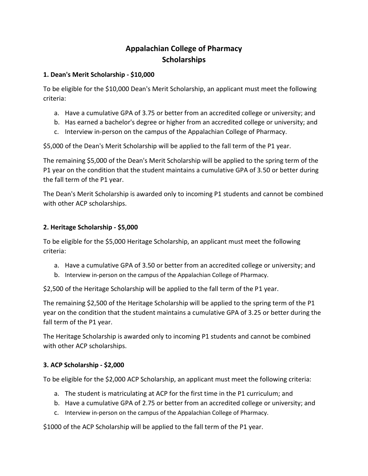## **Appalachian College of Pharmacy Scholarships**

## **1. Dean's Merit Scholarship - \$10,000**

To be eligible for the \$10,000 Dean's Merit Scholarship, an applicant must meet the following criteria:

- a. Have a cumulative GPA of 3.75 or better from an accredited college or university; and
- b. Has earned a bachelor's degree or higher from an accredited college or university; and
- c. Interview in-person on the campus of the Appalachian College of Pharmacy.

\$5,000 of the Dean's Merit Scholarship will be applied to the fall term of the P1 year.

The remaining \$5,000 of the Dean's Merit Scholarship will be applied to the spring term of the P1 year on the condition that the student maintains a cumulative GPA of 3.50 or better during the fall term of the P1 year.

The Dean's Merit Scholarship is awarded only to incoming P1 students and cannot be combined with other ACP scholarships.

## **2. Heritage Scholarship - \$5,000**

To be eligible for the \$5,000 Heritage Scholarship, an applicant must meet the following criteria:

- a. Have a cumulative GPA of 3.50 or better from an accredited college or university; and
- b. Interview in-person on the campus of the Appalachian College of Pharmacy.

\$2,500 of the Heritage Scholarship will be applied to the fall term of the P1 year.

The remaining \$2,500 of the Heritage Scholarship will be applied to the spring term of the P1 year on the condition that the student maintains a cumulative GPA of 3.25 or better during the fall term of the P1 year.

The Heritage Scholarship is awarded only to incoming P1 students and cannot be combined with other ACP scholarships.

## **3. ACP Scholarship - \$2,000**

To be eligible for the \$2,000 ACP Scholarship, an applicant must meet the following criteria:

- a. The student is matriculating at ACP for the first time in the P1 curriculum; and
- b. Have a cumulative GPA of 2.75 or better from an accredited college or university; and
- c. Interview in-person on the campus of the Appalachian College of Pharmacy.

\$1000 of the ACP Scholarship will be applied to the fall term of the P1 year.